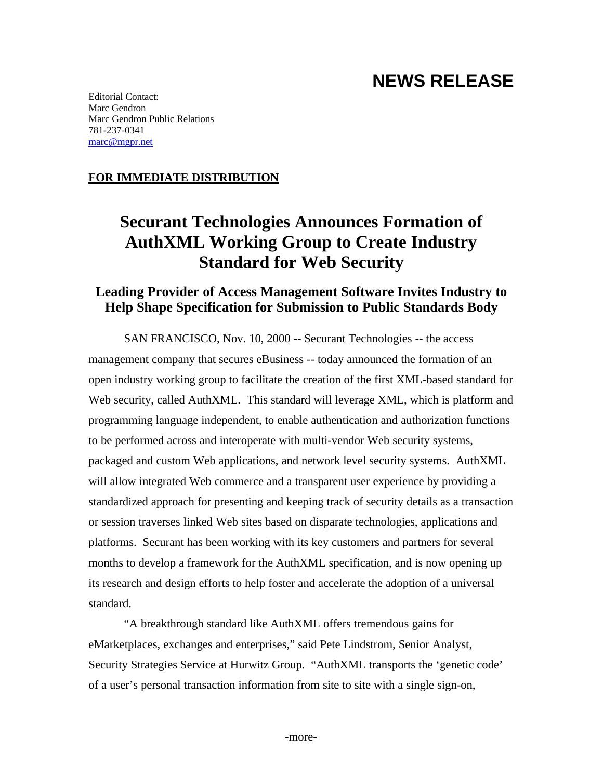## **NEWS RELEASE**

Editorial Contact: Marc Gendron Marc Gendron Public Relations 781-237-0341 marc@mgpr.net

#### **FOR IMMEDIATE DISTRIBUTION**

# **Securant Technologies Announces Formation of AuthXML Working Group to Create Industry Standard for Web Security**

### **Leading Provider of Access Management Software Invites Industry to Help Shape Specification for Submission to Public Standards Body**

SAN FRANCISCO, Nov. 10, 2000 -- Securant Technologies -- the access management company that secures eBusiness -- today announced the formation of an open industry working group to facilitate the creation of the first XML-based standard for Web security, called AuthXML. This standard will leverage XML, which is platform and programming language independent, to enable authentication and authorization functions to be performed across and interoperate with multi-vendor Web security systems, packaged and custom Web applications, and network level security systems. AuthXML will allow integrated Web commerce and a transparent user experience by providing a standardized approach for presenting and keeping track of security details as a transaction or session traverses linked Web sites based on disparate technologies, applications and platforms. Securant has been working with its key customers and partners for several months to develop a framework for the AuthXML specification, and is now opening up its research and design efforts to help foster and accelerate the adoption of a universal standard.

"A breakthrough standard like AuthXML offers tremendous gains for eMarketplaces, exchanges and enterprises," said Pete Lindstrom, Senior Analyst, Security Strategies Service at Hurwitz Group. "AuthXML transports the 'genetic code' of a user's personal transaction information from site to site with a single sign-on,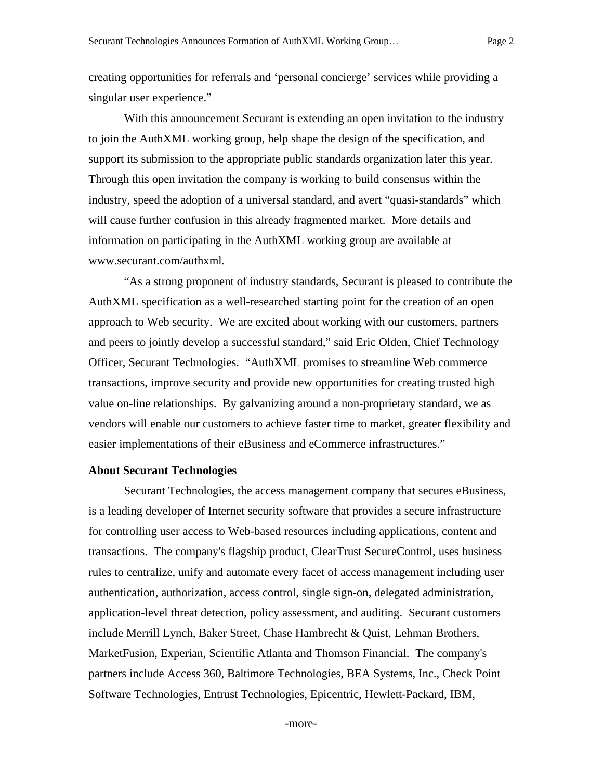creating opportunities for referrals and 'personal concierge' services while providing a singular user experience."

With this announcement Securant is extending an open invitation to the industry to join the AuthXML working group, help shape the design of the specification, and support its submission to the appropriate public standards organization later this year. Through this open invitation the company is working to build consensus within the industry, speed the adoption of a universal standard, and avert "quasi-standards" which will cause further confusion in this already fragmented market. More details and information on participating in the AuthXML working group are available at www.securant.com/authxml.

"As a strong proponent of industry standards, Securant is pleased to contribute the AuthXML specification as a well-researched starting point for the creation of an open approach to Web security. We are excited about working with our customers, partners and peers to jointly develop a successful standard," said Eric Olden, Chief Technology Officer, Securant Technologies. "AuthXML promises to streamline Web commerce transactions, improve security and provide new opportunities for creating trusted high value on-line relationships. By galvanizing around a non-proprietary standard, we as vendors will enable our customers to achieve faster time to market, greater flexibility and easier implementations of their eBusiness and eCommerce infrastructures."

#### **About Securant Technologies**

Securant Technologies, the access management company that secures eBusiness, is a leading developer of Internet security software that provides a secure infrastructure for controlling user access to Web-based resources including applications, content and transactions. The company's flagship product, ClearTrust SecureControl, uses business rules to centralize, unify and automate every facet of access management including user authentication, authorization, access control, single sign-on, delegated administration, application-level threat detection, policy assessment, and auditing. Securant customers include Merrill Lynch, Baker Street, Chase Hambrecht & Quist, Lehman Brothers, MarketFusion, Experian, Scientific Atlanta and Thomson Financial. The company's partners include Access 360, Baltimore Technologies, BEA Systems, Inc., Check Point Software Technologies, Entrust Technologies, Epicentric, Hewlett-Packard, IBM,